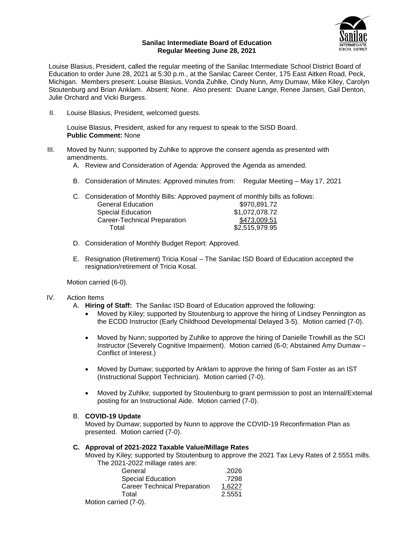

#### **Sanilac Intermediate Board of Education Regular Meeting June 28, 2021**

Louise Blasius, President, called the regular meeting of the Sanilac Intermediate School District Board of Education to order June 28, 2021 at 5:30 p.m., at the Sanilac Career Center, 175 East Aitken Road, Peck, Michigan. Members present: Louise Blasius, Vonda Zuhlke, Cindy Nunn, Amy Dumaw, Mike Kiley, Carolyn Stoutenburg and Brian Anklam. Absent: None. Also present: Duane Lange, Renee Jansen, Gail Denton, Julie Orchard and Vicki Burgess.

II. Louise Blasius, President, welcomed guests.

Louise Blasius, President, asked for any request to speak to the SISD Board. **Public Comment:** None

- III. Moved by Nunn; supported by Zuhlke to approve the consent agenda as presented with amendments.
	- A. Review and Consideration of Agenda: Approved the Agenda as amended.
	- B. Consideration of Minutes: Approved minutes from: Regular Meeting May 17, 2021

|                              | C. Consideration of Monthly Bills: Approved payment of monthly bills as follows: |
|------------------------------|----------------------------------------------------------------------------------|
| <b>General Education</b>     | \$970.891.72                                                                     |
| <b>Special Education</b>     | \$1,072,078.72                                                                   |
| Career-Technical Preparation | \$473,009.51                                                                     |
| Total                        | \$2,515,979.95                                                                   |
|                              |                                                                                  |

- D. Consideration of Monthly Budget Report: Approved.
- E. Resignation (Retirement) Tricia Kosal The Sanilac ISD Board of Education accepted the resignation/retirement of Tricia Kosal.

Motion carried (6-0).

### IV. Action Items

- A. **Hiring of Staff:** The Sanilac ISD Board of Education approved the following:
	- Moved by Kiley; supported by Stoutenburg to approve the hiring of Lindsey Pennington as the ECDD Instructor (Early Childhood Developmental Delayed 3-5). Motion carried (7-0).
	- Moved by Nunn; supported by Zuhlke to approve the hiring of Danielle Trowhill as the SCI Instructor (Severely Cognitive Impairment). Motion carried (6-0; Abstained Amy Dumaw – Conflict of Interest.)
	- Moved by Dumaw; supported by Anklam to approve the hiring of Sam Foster as an IST (Instructional Support Technician). Motion carried (7-0).
	- Moved by Zuhlke; supported by Stoutenburg to grant permission to post an Internal/External posting for an Instructional Aide. Motion carried (7-0).

### B. **COVID-19 Update**

Moved by Dumaw; supported by Nunn to approve the COVID-19 Reconfirmation Plan as presented. Motion carried (7-0).

#### **C. Approval of 2021-2022 Taxable Value/Millage Rates**

Moved by Kiley; supported by Stoutenburg to approve the 2021 Tax Levy Rates of 2.5551 mills. The 2021-2022 millage rates are:

| General                             | .2026  |
|-------------------------------------|--------|
| <b>Special Education</b>            | .7298  |
| <b>Career Technical Preparation</b> | 1.6227 |
| Total                               | 2.5551 |
| corried $(7, 0)$                    |        |

Motion carried (7-0).